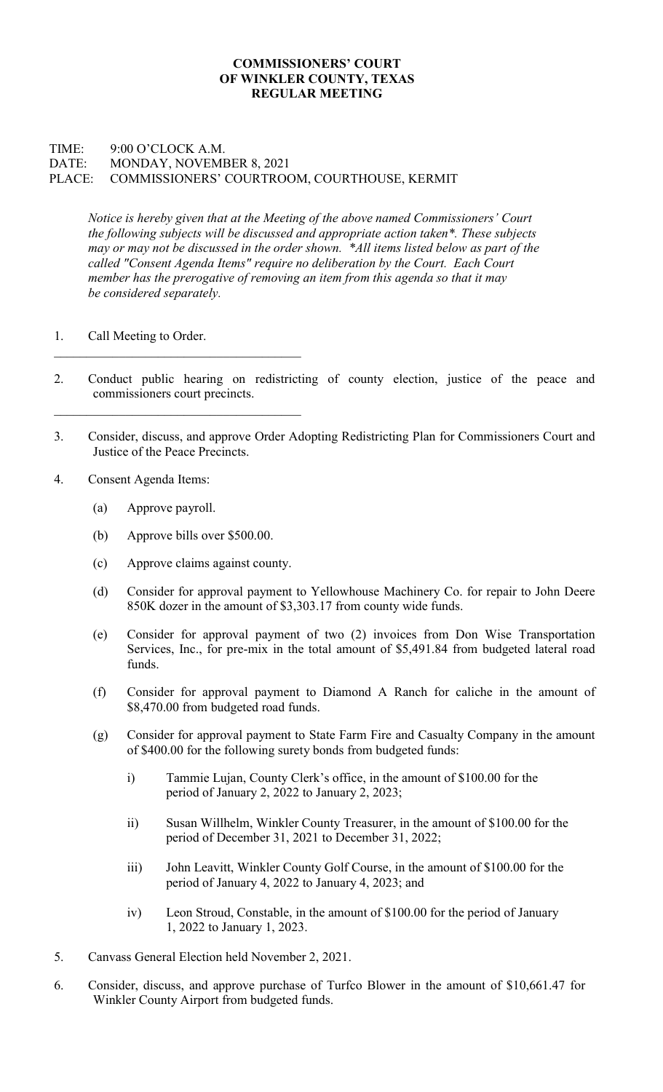## COMMISSIONERS' COURT OF WINKLER COUNTY, TEXAS REGULAR MEETING

## TIME: 9:00 O'CLOCK A.M. DATE: MONDAY, NOVEMBER 8, 2021 PLACE: COMMISSIONERS' COURTROOM, COURTHOUSE, KERMIT

Notice is hereby given that at the Meeting of the above named Commissioners' Court the following subjects will be discussed and appropriate action taken\*. These subjects may or may not be discussed in the order shown. \*All items listed below as part of the called "Consent Agenda Items" require no deliberation by the Court. Each Court member has the prerogative of removing an item from this agenda so that it may be considered separately.

- 1. Call Meeting to Order.
- 2. Conduct public hearing on redistricting of county election, justice of the peace and commissioners court precincts.
- 3. Consider, discuss, and approve Order Adopting Redistricting Plan for Commissioners Court and Justice of the Peace Precincts.
- 4. Consent Agenda Items:
	- (a) Approve payroll.
	- (b) Approve bills over \$500.00.
	- (c) Approve claims against county.
	- (d) Consider for approval payment to Yellowhouse Machinery Co. for repair to John Deere 850K dozer in the amount of \$3,303.17 from county wide funds.
	- (e) Consider for approval payment of two (2) invoices from Don Wise Transportation Services, Inc., for pre-mix in the total amount of \$5,491.84 from budgeted lateral road funds.
	- (f) Consider for approval payment to Diamond A Ranch for caliche in the amount of \$8,470.00 from budgeted road funds.
	- (g) Consider for approval payment to State Farm Fire and Casualty Company in the amount of \$400.00 for the following surety bonds from budgeted funds:
		- i) Tammie Lujan, County Clerk's office, in the amount of \$100.00 for the period of January 2, 2022 to January 2, 2023;
		- ii) Susan Willhelm, Winkler County Treasurer, in the amount of \$100.00 for the period of December 31, 2021 to December 31, 2022;
		- iii) John Leavitt, Winkler County Golf Course, in the amount of \$100.00 for the period of January 4, 2022 to January 4, 2023; and
		- iv) Leon Stroud, Constable, in the amount of \$100.00 for the period of January 1, 2022 to January 1, 2023.
- 5. Canvass General Election held November 2, 2021.
- 6. Consider, discuss, and approve purchase of Turfco Blower in the amount of \$10,661.47 for Winkler County Airport from budgeted funds.